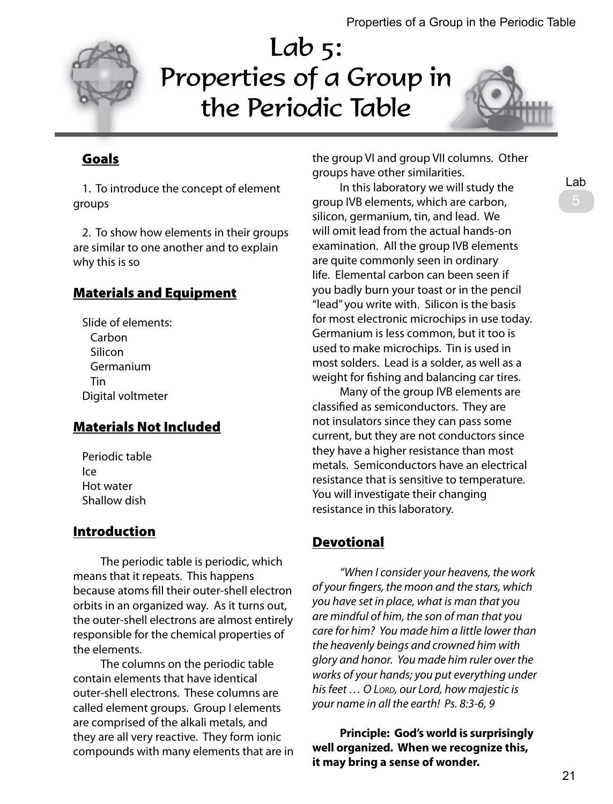

# Lab 5: Properties of a Group in the Periodic Table



## Goals

1. To introduce the concept of element groups

2. To show how elements in their groups are similar to one another and to explain why this is so

#### Materials and Equipment

Slide of elements: Carbon **Silicon** Germanium Tin Digital voltmeter

#### Materials Not Included

Periodic table Ice Hot water Shallow dish

## Introduction

 The periodic table is periodic, which means that it repeats. This happens because atoms fill their outer-shell electron orbits in an organized way. As it turns out, the outer-shell electrons are almost entirely responsible for the chemical properties of the elements.

 The columns on the periodic table contain elements that have identical outer-shell electrons. These columns are called element groups. Group I elements are comprised of the alkali metals, and they are all very reactive. They form ionic compounds with many elements that are in the group VI and group VII columns. Other groups have other similarities.

 In this laboratory we will study the group IVB elements, which are carbon, silicon, germanium, tin, and lead. We will omit lead from the actual hands-on examination. All the group IVB elements are quite commonly seen in ordinary life. Elemental carbon can been seen if you badly burn your toast or in the pencil "lead" you write with. Silicon is the basis for most electronic microchips in use today. Germanium is less common, but it too is used to make microchips. Tin is used in most solders. Lead is a solder, as well as a weight for fishing and balancing car tires.

 Many of the group IVB elements are classified as semiconductors. They are not insulators since they can pass some current, but they are not conductors since they have a higher resistance than most metals. Semiconductors have an electrical resistance that is sensitive to temperature. You will investigate their changing resistance in this laboratory.

## **Devotional**

 *"When I consider your heavens, the work of your fingers, the moon and the stars, which you have set in place, what is man that you are mindful of him, the son of man that you care for him? You made him a little lower than the heavenly beings and crowned him with glory and honor. You made him ruler over the works of your hands; you put everything under his feet … O Lord, our Lord, how majestic is your name in all the earth! Ps. 8:3-6, 9*

 **Principle: God's world is surprisingly well organized. When we recognize this, it may bring a sense of wonder.**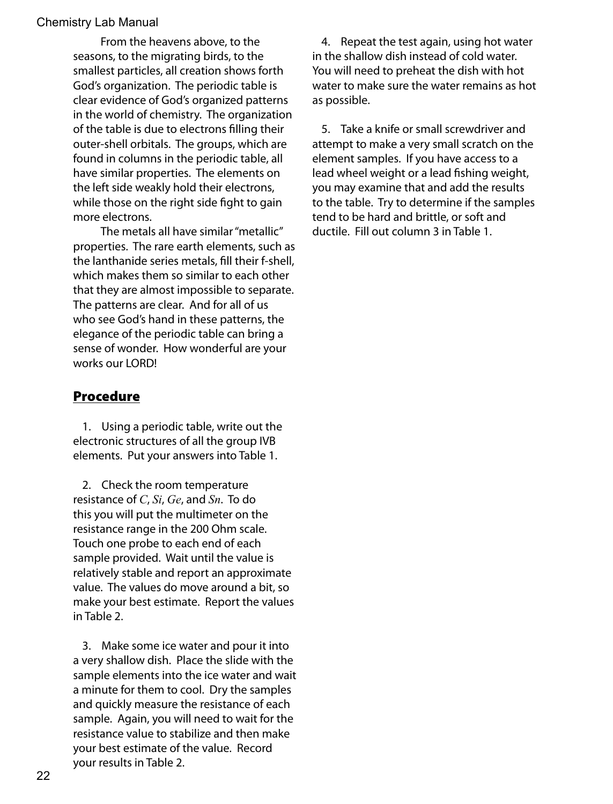From the heavens above, to the seasons, to the migrating birds, to the smallest particles, all creation shows forth God's organization. The periodic table is clear evidence of God's organized patterns in the world of chemistry. The organization of the table is due to electrons filling their outer-shell orbitals. The groups, which are found in columns in the periodic table, all have similar properties. The elements on the left side weakly hold their electrons, while those on the right side fight to gain more electrons.

 The metals all have similar "metallic" properties. The rare earth elements, such as the lanthanide series metals, fill their f-shell, which makes them so similar to each other that they are almost impossible to separate. The patterns are clear. And for all of us who see God's hand in these patterns, the elegance of the periodic table can bring a sense of wonder. How wonderful are your works our LORD!

#### Procedure

1. Using a periodic table, write out the electronic structures of all the group IVB elements. Put your answers into Table 1.

2. Check the room temperature resistance of *C*, *Si*, *Ge*, and *Sn*. To do this you will put the multimeter on the resistance range in the 200 Ohm scale. Touch one probe to each end of each sample provided. Wait until the value is relatively stable and report an approximate value. The values do move around a bit, so make your best estimate. Report the values in Table 2.

3. Make some ice water and pour it into a very shallow dish. Place the slide with the sample elements into the ice water and wait a minute for them to cool. Dry the samples and quickly measure the resistance of each sample. Again, you will need to wait for the resistance value to stabilize and then make your best estimate of the value. Record your results in Table 2.

4. Repeat the test again, using hot water in the shallow dish instead of cold water. You will need to preheat the dish with hot water to make sure the water remains as hot as possible.

5. Take a knife or small screwdriver and attempt to make a very small scratch on the element samples. If you have access to a lead wheel weight or a lead fishing weight, you may examine that and add the results to the table. Try to determine if the samples tend to be hard and brittle, or soft and ductile. Fill out column 3 in Table 1.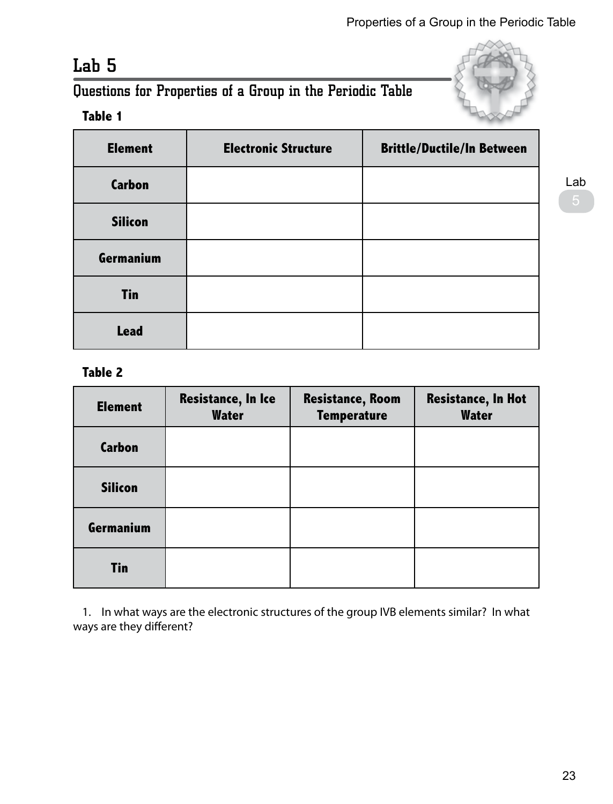## Lab 5

## Questions for Properties of a Group in the Periodic Table

## **Table 1**

| <b>Element</b> | <b>Electronic Structure</b> | <b>Brittle/Ductile/In Between</b> |
|----------------|-----------------------------|-----------------------------------|
| <b>Carbon</b>  |                             |                                   |
| <b>Silicon</b> |                             |                                   |
| Germanium      |                             |                                   |
| <b>Tin</b>     |                             |                                   |
| <b>Lead</b>    |                             |                                   |

#### **Table 2**

| <b>Element</b> | <b>Resistance, In Ice</b><br><b>Water</b> | <b>Resistance, Room</b><br><b>Temperature</b> | <b>Resistance, In Hot</b><br><b>Water</b> |
|----------------|-------------------------------------------|-----------------------------------------------|-------------------------------------------|
| <b>Carbon</b>  |                                           |                                               |                                           |
| <b>Silicon</b> |                                           |                                               |                                           |
| Germanium      |                                           |                                               |                                           |
| <b>Tin</b>     |                                           |                                               |                                           |

1. In what ways are the electronic structures of the group IVB elements similar? In what ways are they different?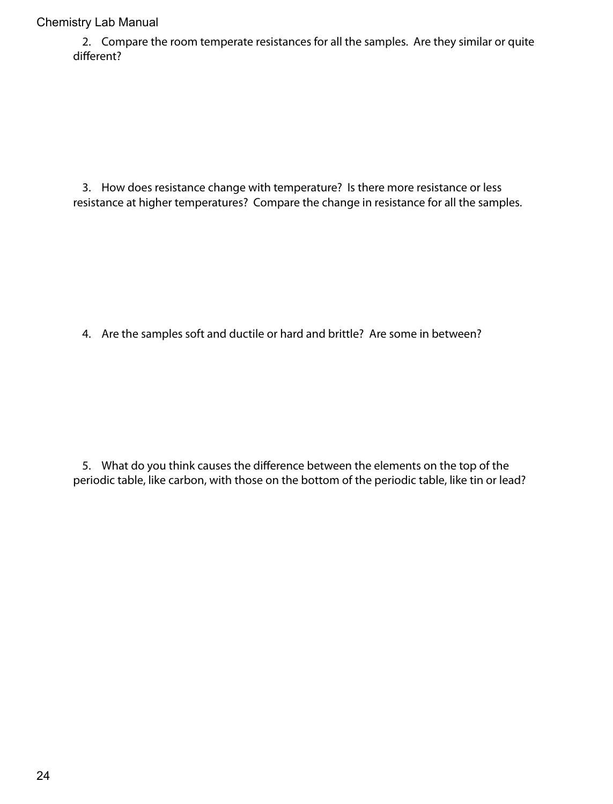2. Compare the room temperate resistances for all the samples. Are they similar or quite different?

3. How does resistance change with temperature? Is there more resistance or less resistance at higher temperatures? Compare the change in resistance for all the samples.

4. Are the samples soft and ductile or hard and brittle? Are some in between?

5. What do you think causes the difference between the elements on the top of the periodic table, like carbon, with those on the bottom of the periodic table, like tin or lead?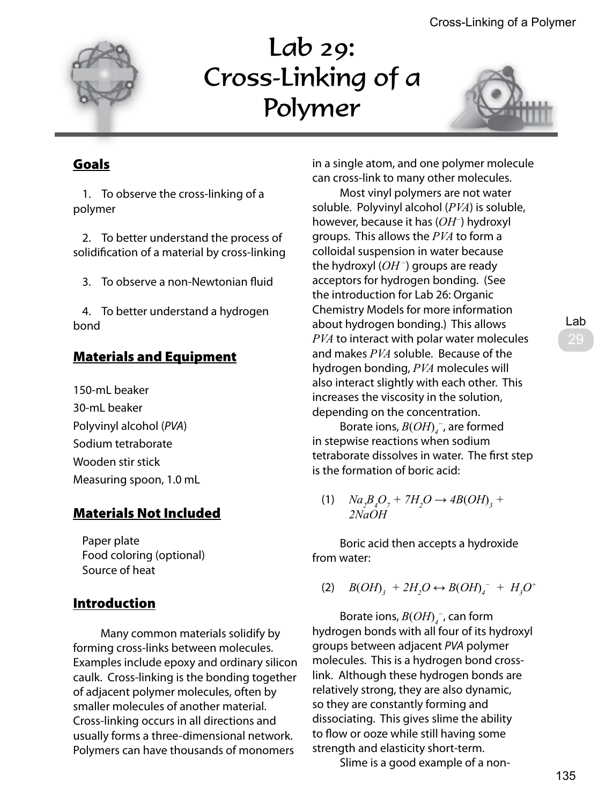

# Lab 29: Cross-Linking of a Polymer



## Goals

1. To observe the cross-linking of a polymer

2. To better understand the process of solidification of a material by cross-linking

3. To observe a non-Newtonian fluid

4. To better understand a hydrogen bond

## Materials and Equipment

150-mL beaker 30-mL beaker Polyvinyl alcohol (*PVA*) Sodium tetraborate Wooden stir stick Measuring spoon, 1.0 mL

## Materials Not Included

Paper plate Food coloring (optional) Source of heat

## **Introduction**

 Many common materials solidify by forming cross-links between molecules. Examples include epoxy and ordinary silicon caulk. Cross-linking is the bonding together of adjacent polymer molecules, often by smaller molecules of another material. Cross-linking occurs in all directions and usually forms a three-dimensional network. Polymers can have thousands of monomers

in a single atom, and one polymer molecule can cross-link to many other molecules.

 Most vinyl polymers are not water soluble. Polyvinyl alcohol (*PVA*) is soluble, however, because it has (*OH<sup>−</sup>*) hydroxyl groups. This allows the *PVA* to form a colloidal suspension in water because the hydroxyl (*OH<sup>−</sup>*) groups are ready acceptors for hydrogen bonding. (See the introduction for Lab 26: Organic Chemistry Models for more information about hydrogen bonding.) This allows *PVA* to interact with polar water molecules and makes *PVA* soluble. Because of the hydrogen bonding, *PVA* molecules will also interact slightly with each other. This increases the viscosity in the solution, depending on the concentration.

 Borate ions, *B*(*OH*) *4 <sup>−</sup>*, are formed in stepwise reactions when sodium tetraborate dissolves in water. The first step is the formation of boric acid:

(1)  $Na_2B_4O_7 + 7H_2O \rightarrow 4B(OH)_3 +$ *2NaOH*

 Boric acid then accepts a hydroxide from water:

(2)  $B(OH)_3 + 2H_2O \leftrightarrow B(OH)_4^- + H_3O^+$ 

 Borate ions, *B*(*OH*)*<sup>4</sup> <sup>−</sup>*, can form hydrogen bonds with all four of its hydroxyl groups between adjacent *PVA* polymer molecules. This is a hydrogen bond crosslink. Although these hydrogen bonds are relatively strong, they are also dynamic, so they are constantly forming and dissociating. This gives slime the ability to flow or ooze while still having some strength and elasticity short-term.

Slime is a good example of a non-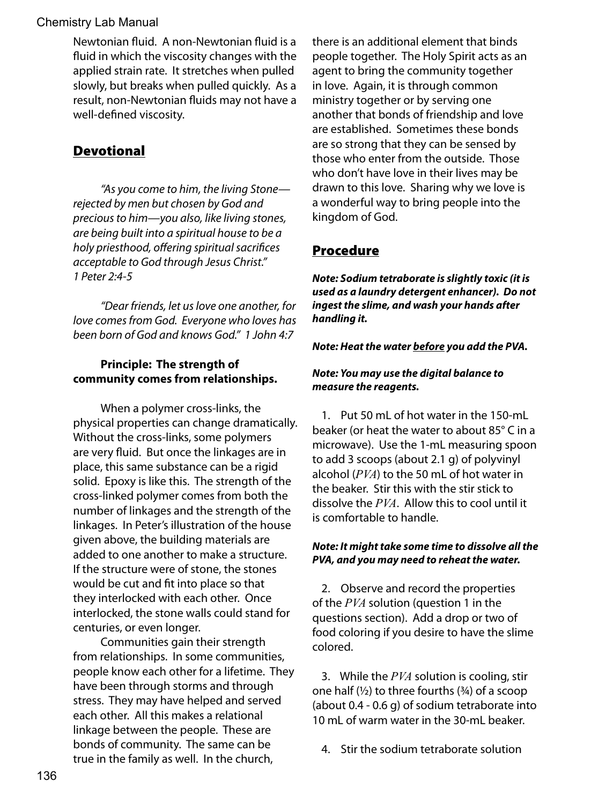Newtonian fluid. A non-Newtonian fluid is a fluid in which the viscosity changes with the applied strain rate. It stretches when pulled slowly, but breaks when pulled quickly. As a result, non-Newtonian fluids may not have a well-defined viscosity.

## **Devotional**

 *"As you come to him, the living Stone rejected by men but chosen by God and precious to him—you also, like living stones, are being built into a spiritual house to be a holy priesthood, offering spiritual sacrifices acceptable to God through Jesus Christ." 1 Peter 2:4-5* 

 *"Dear friends, let us love one another, for love comes from God. Everyone who loves has been born of God and knows God." 1 John 4:7* 

#### **Principle: The strength of community comes from relationships.**

 When a polymer cross-links, the physical properties can change dramatically. Without the cross-links, some polymers are very fluid. But once the linkages are in place, this same substance can be a rigid solid. Epoxy is like this. The strength of the cross-linked polymer comes from both the number of linkages and the strength of the linkages. In Peter's illustration of the house given above, the building materials are added to one another to make a structure. If the structure were of stone, the stones would be cut and fit into place so that they interlocked with each other. Once interlocked, the stone walls could stand for centuries, or even longer.

 Communities gain their strength from relationships. In some communities, people know each other for a lifetime. They have been through storms and through stress. They may have helped and served each other. All this makes a relational linkage between the people. These are bonds of community. The same can be true in the family as well. In the church,

there is an additional element that binds people together. The Holy Spirit acts as an agent to bring the community together in love. Again, it is through common ministry together or by serving one another that bonds of friendship and love are established. Sometimes these bonds are so strong that they can be sensed by those who enter from the outside. Those who don't have love in their lives may be drawn to this love. Sharing why we love is a wonderful way to bring people into the kingdom of God.

#### Procedure

*Note: Sodium tetraborate is slightly toxic (it is used as a laundry detergent enhancer). Do not ingest the slime, and wash your hands after handling it.*

#### *Note: Heat the water before you add the PVA.*

#### *Note: You may use the digital balance to measure the reagents.*

1. Put 50 mL of hot water in the 150-mL beaker (or heat the water to about 85° C in a microwave). Use the 1-mL measuring spoon to add 3 scoops (about 2.1 g) of polyvinyl alcohol (*PVA*) to the 50 mL of hot water in the beaker. Stir this with the stir stick to dissolve the *PVA*. Allow this to cool until it is comfortable to handle.

#### *Note: It might take some time to dissolve all the PVA, and you may need to reheat the water.*

2. Observe and record the properties of the *PVA* solution (question 1 in the questions section). Add a drop or two of food coloring if you desire to have the slime colored.

3. While the *PVA* solution is cooling, stir one half  $(\frac{1}{2})$  to three fourths  $(\frac{3}{4})$  of a scoop (about 0.4 - 0.6 g) of sodium tetraborate into 10 mL of warm water in the 30-mL beaker.

4. Stir the sodium tetraborate solution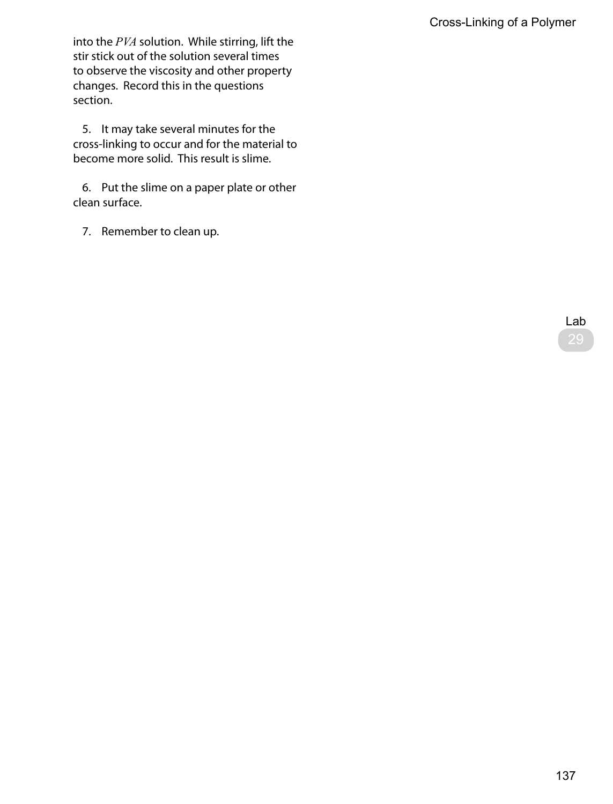into the *PVA* solution. While stirring, lift the stir stick out of the solution several times to observe the viscosity and other property changes. Record this in the questions section.

5. It may take several minutes for the cross-linking to occur and for the material to become more solid. This result is slime.

6. Put the slime on a paper plate or other clean surface.

7. Remember to clean up.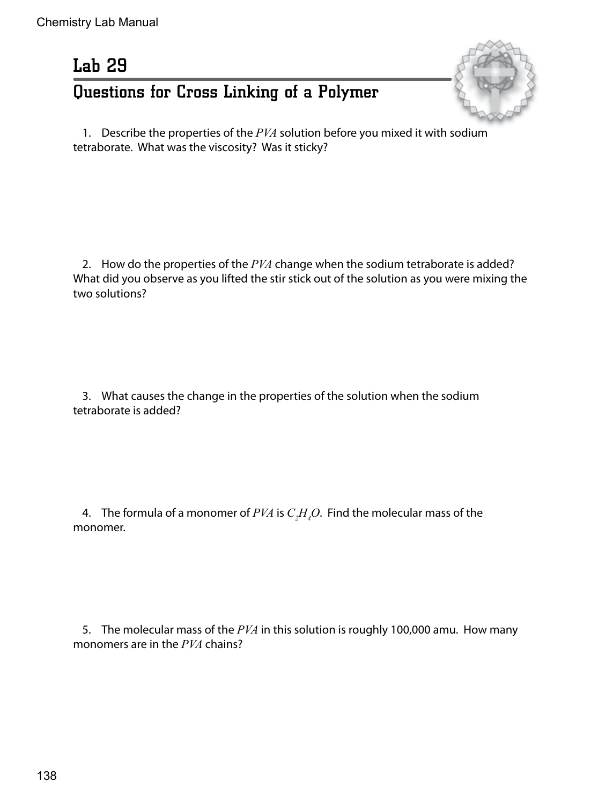# Lab 29 Questions for Cross Linking of a Polymer



1. Describe the properties of the *PVA* solution before you mixed it with sodium tetraborate. What was the viscosity? Was it sticky?

2. How do the properties of the *PVA* change when the sodium tetraborate is added? What did you observe as you lifted the stir stick out of the solution as you were mixing the two solutions?

3. What causes the change in the properties of the solution when the sodium tetraborate is added?

4. The formula of a monomer of  $PVA$  is  $C_2H_4O$ . Find the molecular mass of the monomer.

5. The molecular mass of the *PVA* in this solution is roughly 100,000 amu. How many monomers are in the *PVA* chains?